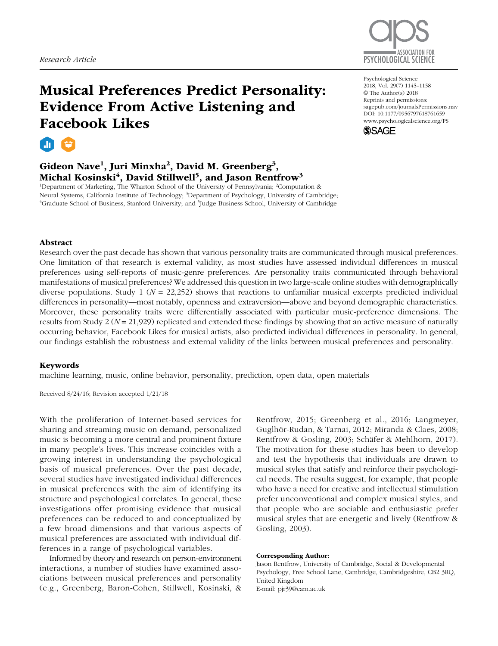

# Musical Preferences Predict Personality: Evidence From Active Listening and Facebook Likes



# Gideon Nave<sup>1</sup>, Juri Minxha<sup>2</sup>, David M. Greenberg<sup>3</sup>, Michal Kosinski $^4$ , David Stillwell $^5$ , and Jason Rentfrow $^3$

<sup>1</sup>Department of Marketing, The Wharton School of the University of Pennsylvania; <sup>2</sup>Computation & Neural Systems, California Institute of Technology; <sup>3</sup>Department of Psychology, University of Cambridge; <sup>4</sup>Graduate School of Business, Stanford University; and <sup>5</sup>Judge Business School, University of Cambridge

https://doi.org/10.1177/0956797618761659 DOI: 10.1177/0956797618761659 Psychological Science 2018, Vol. 29(7) 1145 –1158 © The Author(s) 2018 Reprints and permissions: sagepub.com/journalsPermissions.nav www.psychologicalscience.org/PS



## Abstract

Research over the past decade has shown that various personality traits are communicated through musical preferences. One limitation of that research is external validity, as most studies have assessed individual differences in musical preferences using self-reports of music-genre preferences. Are personality traits communicated through behavioral manifestations of musical preferences? We addressed this question in two large-scale online studies with demographically diverse populations. Study 1 (*N* = 22,252) shows that reactions to unfamiliar musical excerpts predicted individual differences in personality—most notably, openness and extraversion—above and beyond demographic characteristics. Moreover, these personality traits were differentially associated with particular music-preference dimensions. The results from Study 2 (*N* = 21,929) replicated and extended these findings by showing that an active measure of naturally occurring behavior, Facebook Likes for musical artists, also predicted individual differences in personality. In general, our findings establish the robustness and external validity of the links between musical preferences and personality.

## Keywords

machine learning, music, online behavior, personality, prediction, open data, open materials

Received 8/24/16; Revision accepted 1/21/18

With the proliferation of Internet-based services for sharing and streaming music on demand, personalized music is becoming a more central and prominent fixture in many people's lives. This increase coincides with a growing interest in understanding the psychological basis of musical preferences. Over the past decade, several studies have investigated individual differences in musical preferences with the aim of identifying its structure and psychological correlates. In general, these investigations offer promising evidence that musical preferences can be reduced to and conceptualized by a few broad dimensions and that various aspects of musical preferences are associated with individual differences in a range of psychological variables.

Informed by theory and research on person-environment interactions, a number of studies have examined associations between musical preferences and personality (e.g., Greenberg, Baron-Cohen, Stillwell, Kosinski, & Rentfrow, 2015; Greenberg et al., 2016; Langmeyer, Guglhör-Rudan, & Tarnai, 2012; Miranda & Claes, 2008; Rentfrow & Gosling, 2003; Schäfer & Mehlhorn, 2017). The motivation for these studies has been to develop and test the hypothesis that individuals are drawn to musical styles that satisfy and reinforce their psychological needs. The results suggest, for example, that people who have a need for creative and intellectual stimulation prefer unconventional and complex musical styles, and that people who are sociable and enthusiastic prefer musical styles that are energetic and lively (Rentfrow & Gosling, 2003).

#### Corresponding Author:

Jason Rentfrow, University of Cambridge, Social & Developmental Psychology, Free School Lane, Cambridge, Cambridgeshire, CB2 3RQ, United Kingdom E-mail: pjr39@cam.ac.uk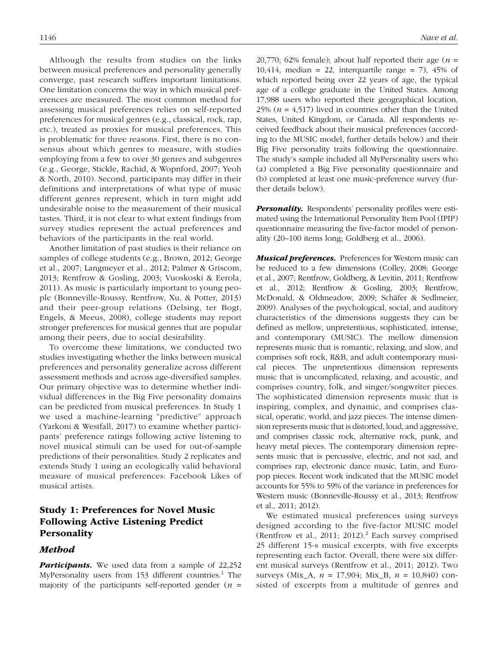Although the results from studies on the links between musical preferences and personality generally converge, past research suffers important limitations. One limitation concerns the way in which musical preferences are measured. The most common method for assessing musical preferences relies on self-reported preferences for musical genres (e.g., classical, rock, rap, etc.), treated as proxies for musical preferences. This is problematic for three reasons. First, there is no consensus about which genres to measure, with studies employing from a few to over 30 genres and subgenres (e.g., George, Stickle, Rachid, & Wopnford, 2007; Yeoh & North, 2010). Second, participants may differ in their definitions and interpretations of what type of music different genres represent, which in turn might add undesirable noise to the measurement of their musical tastes. Third, it is not clear to what extent findings from survey studies represent the actual preferences and behaviors of the participants in the real world.

Another limitation of past studies is their reliance on samples of college students (e.g., Brown, 2012; George et al., 2007; Langmeyer et al., 2012; Palmer & Griscom, 2013; Rentfrow & Gosling, 2003; Vuoskoski & Eerola, 2011). As music is particularly important to young people (Bonneville-Roussy, Rentfrow, Xu, & Potter, 2013) and their peer-group relations (Delsing, ter Bogt, Engels, & Meeus, 2008), college students may report stronger preferences for musical genres that are popular among their peers, due to social desirability.

To overcome these limitations, we conducted two studies investigating whether the links between musical preferences and personality generalize across different assessment methods and across age-diversified samples. Our primary objective was to determine whether individual differences in the Big Five personality domains can be predicted from musical preferences. In Study 1 we used a machine-learning "predictive" approach (Yarkoni & Westfall, 2017) to examine whether participants' preference ratings following active listening to novel musical stimuli can be used for out-of-sample predictions of their personalities. Study 2 replicates and extends Study 1 using an ecologically valid behavioral measure of musical preferences: Facebook Likes of musical artists.

## Study 1: Preferences for Novel Music Following Active Listening Predict Personality

## Method

**Participants.** We used data from a sample of 22,252 MyPersonality users from 153 different countries.<sup>1</sup> The majority of the participants self-reported gender (*n* =

20,770; 62% female); about half reported their age  $(n =$ 10,414, median = 22, interquartile range = 7), 45% of which reported being over 22 years of age, the typical age of a college graduate in the United States. Among 17,988 users who reported their geographical location, 25% ( $n = 4.517$ ) lived in countries other than the United States, United Kingdom, or Canada. All respondents received feedback about their musical preferences (according to the MUSIC model, further details below) and their Big Five personality traits following the questionnaire. The study's sample included all MyPersonality users who (a) completed a Big Five personality questionnaire and (b) completed at least one music-preference survey (further details below).

**Personality.** Respondents' personality profiles were estimated using the International Personality Item Pool (IPIP) questionnaire measuring the five-factor model of personality (20–100 items long; Goldberg et al., 2006).

**Musical preferences.** Preferences for Western music can be reduced to a few dimensions (Colley, 2008; George et al., 2007; Rentfrow, Goldberg, & Levitin, 2011; Rentfrow et al., 2012; Rentfrow & Gosling, 2003; Rentfrow, McDonald, & Oldmeadow, 2009; Schäfer & Sedlmeier, 2009). Analyses of the psychological, social, and auditory characteristics of the dimensions suggests they can be defined as mellow, unpretentious, sophisticated, intense, and contemporary (MUSIC). The mellow dimension represents music that is romantic, relaxing, and slow, and comprises soft rock, R&B, and adult contemporary musical pieces. The unpretentious dimension represents music that is uncomplicated, relaxing, and acoustic, and comprises country, folk, and singer/songwriter pieces. The sophisticated dimension represents music that is inspiring, complex, and dynamic, and comprises classical, operatic, world, and jazz pieces. The intense dimension represents music that is distorted, loud, and aggressive, and comprises classic rock, alternative rock, punk, and heavy metal pieces. The contemporary dimension represents music that is percussive, electric, and not sad, and comprises rap, electronic dance music, Latin, and Europop pieces. Recent work indicated that the MUSIC model accounts for 55% to 59% of the variance in preferences for Western music (Bonneville-Roussy et al., 2013; Rentfrow et al., 2011; 2012).

We estimated musical preferences using surveys designed according to the five-factor MUSIC model (Rentfrow et al., 2011; 2012).<sup>2</sup> Each survey comprised 25 different 15-s musical excerpts, with five excerpts representing each factor. Overall, there were six different musical surveys (Rentfrow et al., 2011; 2012). Two surveys (Mix\_A, *n* = 17,904; Mix\_B, *n* = 10,840) consisted of excerpts from a multitude of genres and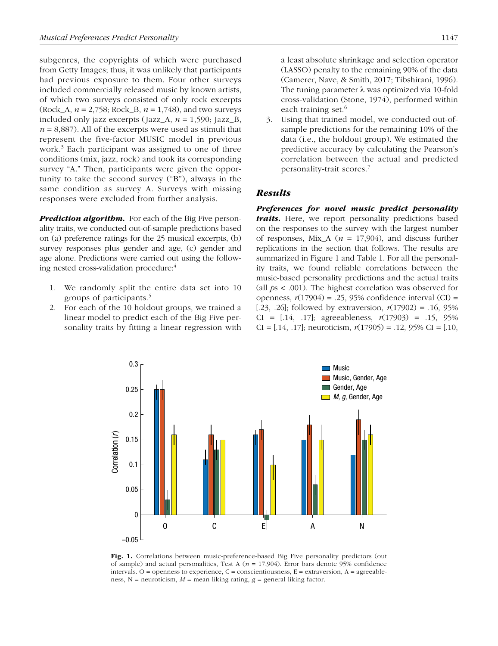subgenres, the copyrights of which were purchased from Getty Images; thus, it was unlikely that participants had previous exposure to them. Four other surveys included commercially released music by known artists, of which two surveys consisted of only rock excerpts (Rock\_A, *n* = 2,758; Rock\_B, *n* = 1,748), and two surveys included only jazz excerpts (Jazz\_A, *n* = 1,590; Jazz\_B,  $n = 8,887$ . All of the excerpts were used as stimuli that represent the five-factor MUSIC model in previous work.<sup>3</sup> Each participant was assigned to one of three conditions (mix, jazz, rock) and took its corresponding survey "A." Then, participants were given the opportunity to take the second survey ("B"), always in the same condition as survey A. Surveys with missing responses were excluded from further analysis.

**Prediction algorithm.** For each of the Big Five personality traits, we conducted out-of-sample predictions based on (a) preference ratings for the 25 musical excerpts, (b) survey responses plus gender and age, (c) gender and age alone. Predictions were carried out using the following nested cross-validation procedure:<sup>4</sup>

- 1. We randomly split the entire data set into 10 groups of participants.<sup>5</sup>
- 2. For each of the 10 holdout groups, we trained a linear model to predict each of the Big Five personality traits by fitting a linear regression with

a least absolute shrinkage and selection operator (LASSO) penalty to the remaining 90% of the data (Camerer, Nave, & Smith, 2017; Tibshirani, 1996). The tuning parameter  $\lambda$  was optimized via 10-fold cross-validation (Stone, 1974), performed within each training set. $6$ 

3. Using that trained model, we conducted out-ofsample predictions for the remaining 10% of the data (i.e., the holdout group). We estimated the predictive accuracy by calculating the Pearson's correlation between the actual and predicted personality-trait scores.<sup>7</sup>

## Results

Preferences for novel music predict personality traits. Here, we report personality predictions based on the responses to the survey with the largest number of responses, Mix<sub>A</sub> ( $n = 17,904$ ), and discuss further replications in the section that follows. The results are summarized in Figure 1 and Table 1. For all the personality traits, we found reliable correlations between the music-based personality predictions and the actual traits (all *p*s < .001). The highest correlation was observed for openness, *r*(17904) = .25, 95% confidence interval (CI) = [.23, .26]; followed by extraversion,  $r(17902) = .16, 95\%$ CI = [.14, .17]; agreeableness, *r*(17903) = .15, 95% CI =  $[0.14, 0.17]$ ; neuroticism,  $r(17905) = 0.12, 0.95\%$  CI =  $[0.10, 0.17]$ 



Fig. 1. Correlations between music-preference-based Big Five personality predictors (out of sample) and actual personalities, Test A (*n* = 17,904). Error bars denote 95% confidence intervals. O = openness to experience,  $C =$  conscientiousness,  $E =$  extraversion,  $A =$  agreeableness, N = neuroticism, *M* = mean liking rating, *g* = general liking factor.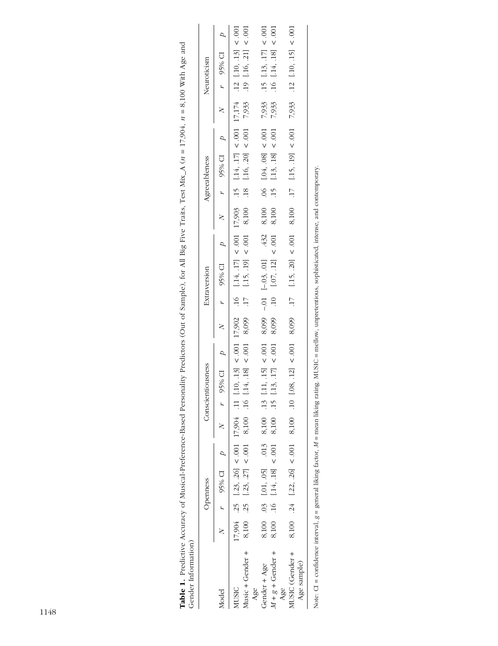| <b>Table 1.</b> Predictive Accuracy of Musical-Preference-Based Personality Predictors (Out of Sample), for All Big Five Traits, Test Mix_A $(n = 17,904, n = 8,100$ With Age and<br>Gender Information) |  |                |  |                                                                                                                                                                                                                                |  |                                                                                       |  |               |       |             |                                                                                                       |  |
|----------------------------------------------------------------------------------------------------------------------------------------------------------------------------------------------------------|--|----------------|--|--------------------------------------------------------------------------------------------------------------------------------------------------------------------------------------------------------------------------------|--|---------------------------------------------------------------------------------------|--|---------------|-------|-------------|-------------------------------------------------------------------------------------------------------|--|
|                                                                                                                                                                                                          |  | Openness       |  | Conscientiousness                                                                                                                                                                                                              |  | Extraversion                                                                          |  | Agreeableness |       | Neuroticism |                                                                                                       |  |
| Model                                                                                                                                                                                                    |  | $N$ r 95% CI p |  |                                                                                                                                                                                                                                |  | 95% CI p cI p cI p cI p cyst cI p cyst cI p cyst cI p cyst cI p cyst cI p cyst cI p c |  |               |       |             |                                                                                                       |  |
| MUSIC                                                                                                                                                                                                    |  |                |  |                                                                                                                                                                                                                                |  |                                                                                       |  |               |       |             |                                                                                                       |  |
| Music + Gender +                                                                                                                                                                                         |  |                |  | 17,904 25 [23, 26] < 001 17,904 11 [10, 13] < 001 17,902 16 [14, 17] < 001 17,903 15 [14, 17] < 001 17,174 12 [10, 13] < 001 8,100 15 [23, 27] < 001 8,100 16 [14, 18] < 001 8,099 17 [15, 19] < 001 8,100 18 [16, 20] < 001 7 |  | $17$ [.15, .19] < .001 8,100                                                          |  |               |       |             |                                                                                                       |  |
| Gender + Age<br>Age                                                                                                                                                                                      |  |                |  |                                                                                                                                                                                                                                |  |                                                                                       |  |               |       |             |                                                                                                       |  |
| $M + g +$ Gender +                                                                                                                                                                                       |  |                |  | 8,100 .03 [.01, .05] .013 8,100 .13 [.11, .15] < .001 8,099 --.01 [-.03, .01] .432 8,100 .06 [.04, .08] < .001 8,100 .16 [.14, .18] < .001 8,100 .15 [.13, .17] < .001 8,099 .10 [.07, .12] < .001 8,100 .15 [.13, .18] < .00  |  |                                                                                       |  |               |       |             | $\begin{array}{ccccc} 7,933 & .15 & .13, .17 & < .001 \\ 7,933 & .16 & .14, .18 & < .001 \end{array}$ |  |
| MUSIC (Gender +<br>Age sample)<br>Age                                                                                                                                                                    |  |                |  | 8,100 .24 [.22, .26] < .001 8,100 .10 [.08, .12] < .001 8,099 .17 [.15, .20] < .001 8,100 .17 [.15, .19] < .001                                                                                                                |  |                                                                                       |  |               | 7,933 |             | .12 [.10, .15] < .001                                                                                 |  |
|                                                                                                                                                                                                          |  |                |  |                                                                                                                                                                                                                                |  |                                                                                       |  |               |       |             |                                                                                                       |  |

| į                    |
|----------------------|
| j<br>ì<br>l          |
|                      |
| į                    |
| Ì                    |
| $\overline{a}$<br>J  |
| $\vdots$             |
|                      |
|                      |
| 1                    |
|                      |
|                      |
| i                    |
| i<br>j               |
|                      |
| j<br>ļ               |
| Ì<br>ļ<br>l          |
|                      |
| :<br>j               |
|                      |
|                      |
|                      |
| į                    |
|                      |
| I                    |
| i                    |
|                      |
| $\mathbf{I}$         |
| $\mathbf{1}$         |
| j                    |
|                      |
|                      |
| )                    |
|                      |
| ł                    |
| į                    |
|                      |
|                      |
|                      |
|                      |
| $\mathbf{I}$         |
| $\frac{1}{2}$        |
| j                    |
| i<br>i               |
|                      |
| $\ddot{\phantom{a}}$ |
|                      |
| j<br>ì<br>۱          |
| l                    |
| i<br>$\overline{ }$  |
| $\mathbf{I}$<br>ļ    |
| j<br>I               |
|                      |
| .uvari<br>in ral     |
| ĺ<br>١               |
| Ì<br>۱<br>i          |
| ļ<br>֚֓<br>ł         |
|                      |
| ₹<br>ļ<br>I<br>١     |
| ì                    |
| II                   |
| ì<br>j<br>í          |
| j<br>١<br>БĆ<br>١    |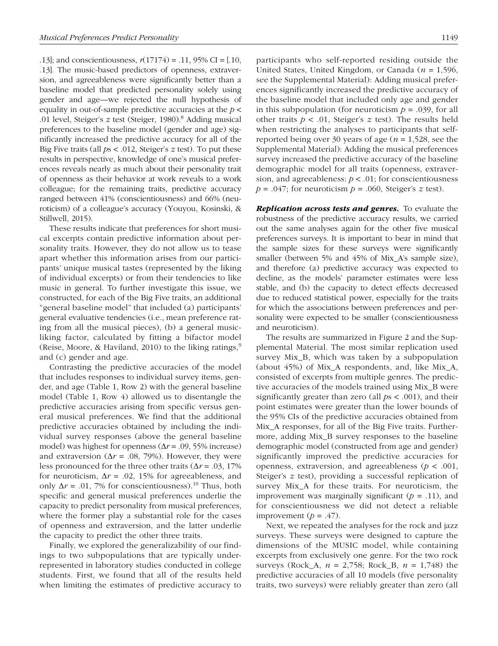.13]; and conscientiousness, *r*(17174) = .11, 95% CI = [.10, .13]. The music-based predictors of openness, extraversion, and agreeableness were significantly better than a baseline model that predicted personality solely using gender and age—we rejected the null hypothesis of equality in out-of-sample predictive accuracies at the *p* < .01 level, Steiger's *z* test (Steiger, 1980).<sup>8</sup> Adding musical preferences to the baseline model (gender and age) significantly increased the predictive accuracy for all of the Big Five traits (all *p*s < .012, Steiger's *z* test). To put these results in perspective, knowledge of one's musical preferences reveals nearly as much about their personality trait of openness as their behavior at work reveals to a work colleague; for the remaining traits, predictive accuracy ranged between 41% (conscientiousness) and 66% (neuroticism) of a colleague's accuracy (Youyou, Kosinski, & Stillwell, 2015).

These results indicate that preferences for short musical excerpts contain predictive information about personality traits. However, they do not allow us to tease apart whether this information arises from our participants' unique musical tastes (represented by the liking of individual excerpts) or from their tendencies to like music in general. To further investigate this issue, we constructed, for each of the Big Five traits, an additional "general baseline model" that included (a) participants' general evaluative tendencies (i.e., mean preference rating from all the musical pieces), (b) a general musicliking factor, calculated by fitting a bifactor model (Reise, Moore, & Haviland, 2010) to the liking ratings, $9$ and (c) gender and age.

Contrasting the predictive accuracies of the model that includes responses to individual survey items, gender, and age (Table 1, Row 2) with the general baseline model (Table 1, Row 4) allowed us to disentangle the predictive accuracies arising from specific versus general musical preferences. We find that the additional predictive accuracies obtained by including the individual survey responses (above the general baseline model) was highest for openness (Δ*r* = .09, 55% increase) and extraversion ( $\Delta r = .08, 79\%$ ). However, they were less pronounced for the three other traits ( $\Delta r = .03, 17\%$ for neuroticism,  $\Delta r = .02$ , 15% for agreeableness, and only  $\Delta r = .01$ , 7% for conscientiousness).<sup>10</sup> Thus, both specific and general musical preferences underlie the capacity to predict personality from musical preferences, where the former play a substantial role for the cases of openness and extraversion, and the latter underlie the capacity to predict the other three traits.

Finally, we explored the generalizability of our findings to two subpopulations that are typically underrepresented in laboratory studies conducted in college students. First, we found that all of the results held when limiting the estimates of predictive accuracy to participants who self-reported residing outside the United States, United Kingdom, or Canada (*n* = 1,596, see the Supplemental Material): Adding musical preferences significantly increased the predictive accuracy of the baseline model that included only age and gender in this subpopulation (for neuroticism  $p = .039$ , for all other traits *p* < .01, Steiger's *z* test). The results held when restricting the analyses to participants that selfreported being over 30 years of age (*n* = 1,528, see the Supplemental Material): Adding the musical preferences survey increased the predictive accuracy of the baseline demographic model for all traits (openness, extraversion, and agreeableness: *p* < .01; for conscientiousness  $p = .047$ ; for neuroticism  $p = .060$ , Steiger's *z* test).

**Replication across tests and genres.** To evaluate the robustness of the predictive accuracy results, we carried out the same analyses again for the other five musical preferences surveys. It is important to bear in mind that the sample sizes for these surveys were significantly smaller (between 5% and 45% of Mix\_A's sample size), and therefore (a) predictive accuracy was expected to decline, as the models' parameter estimates were less stable, and (b) the capacity to detect effects decreased due to reduced statistical power, especially for the traits for which the associations between preferences and personality were expected to be smaller (conscientiousness and neuroticism).

The results are summarized in Figure 2 and the Supplemental Material. The most similar replication used survey Mix\_B, which was taken by a subpopulation (about 45%) of Mix\_A respondents, and, like Mix\_A, consisted of excerpts from multiple genres. The predictive accuracies of the models trained using Mix\_B were significantly greater than zero (all *p*s < .001), and their point estimates were greater than the lower bounds of the 95% CIs of the predictive accuracies obtained from Mix\_A responses, for all of the Big Five traits. Furthermore, adding Mix\_B survey responses to the baseline demographic model (constructed from age and gender) significantly improved the predictive accuracies for openness, extraversion, and agreeableness (*p* < .001, Steiger's *z* test), providing a successful replication of survey Mix\_A for these traits. For neuroticism, the improvement was marginally significant  $(p = .11)$ , and for conscientiousness we did not detect a reliable improvement  $(p = .47)$ .

Next, we repeated the analyses for the rock and jazz surveys. These surveys were designed to capture the dimensions of the MUSIC model, while containing excerpts from exclusively one genre. For the two rock surveys (Rock\_A, *n* = 2,758; Rock\_B, *n* = 1,748) the predictive accuracies of all 10 models (five personality traits, two surveys) were reliably greater than zero (all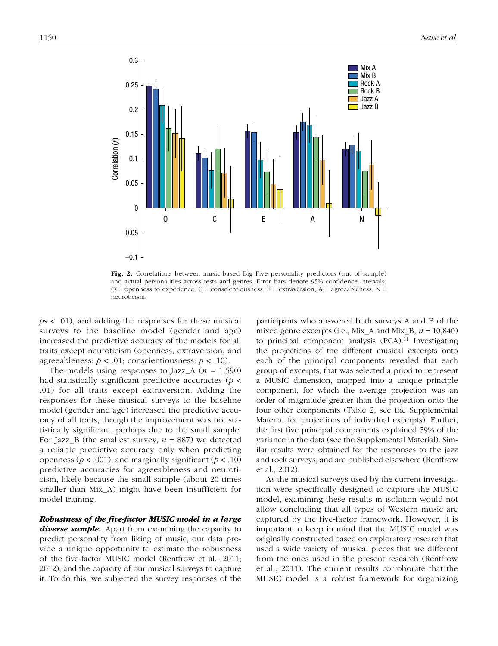

Fig. 2. Correlations between music-based Big Five personality predictors (out of sample) and actual personalities across tests and genres. Error bars denote 95% confidence intervals.  $O =$  openness to experience,  $C =$  conscientiousness,  $E =$  extraversion,  $A =$  agreeableness,  $N =$ neuroticism.

*p*s < .01), and adding the responses for these musical surveys to the baseline model (gender and age) increased the predictive accuracy of the models for all traits except neuroticism (openness, extraversion, and agreeableness:  $p < .01$ ; conscientiousness:  $p < .10$ ).

The models using responses to Jazz<sub>A</sub> ( $n = 1,590$ ) had statistically significant predictive accuracies (*p* < .01) for all traits except extraversion. Adding the responses for these musical surveys to the baseline model (gender and age) increased the predictive accuracy of all traits, though the improvement was not statistically significant, perhaps due to the small sample. For Jazz<sub>\_B</sub> (the smallest survey,  $n = 887$ ) we detected a reliable predictive accuracy only when predicting openness ( $p < .001$ ), and marginally significant ( $p < .10$ ) predictive accuracies for agreeableness and neuroticism, likely because the small sample (about 20 times smaller than Mix\_A) might have been insufficient for model training.

Robustness of the five-factor MUSIC model in a large **diverse sample.** Apart from examining the capacity to predict personality from liking of music, our data provide a unique opportunity to estimate the robustness of the five-factor MUSIC model (Rentfrow et al., 2011; 2012), and the capacity of our musical surveys to capture it. To do this, we subjected the survey responses of the participants who answered both surveys A and B of the mixed genre excerpts (i.e., Mix\_A and Mix\_B, *n* = 10,840) to principal component analysis  $(PCA)^{11}$  Investigating the projections of the different musical excerpts onto each of the principal components revealed that each group of excerpts, that was selected a priori to represent a MUSIC dimension, mapped into a unique principle component, for which the average projection was an order of magnitude greater than the projection onto the four other components (Table 2, see the Supplemental Material for projections of individual excerpts). Further, the first five principal components explained 59% of the variance in the data (see the Supplemental Material). Similar results were obtained for the responses to the jazz and rock surveys, and are published elsewhere (Rentfrow et al., 2012).

As the musical surveys used by the current investigation were specifically designed to capture the MUSIC model, examining these results in isolation would not allow concluding that all types of Western music are captured by the five-factor framework. However, it is important to keep in mind that the MUSIC model was originally constructed based on exploratory research that used a wide variety of musical pieces that are different from the ones used in the present research (Rentfrow et al., 2011). The current results corroborate that the MUSIC model is a robust framework for organizing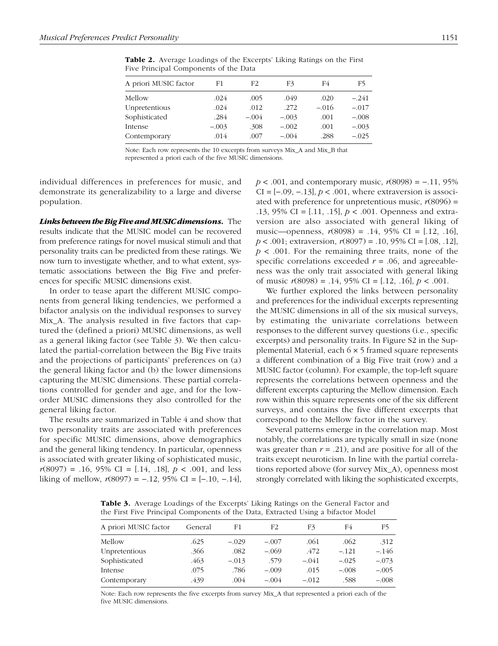| A priori MUSIC factor | F1      | F2      | F3      | F4      | F5      |
|-----------------------|---------|---------|---------|---------|---------|
| Mellow                | .024    | .005    | .049    | .020    | $-.241$ |
| Unpretentious         | .024    | .012    | .272    | $-.016$ | $-.017$ |
| Sophisticated         | .284    | $-.004$ | $-.003$ | .001    | $-.008$ |
| Intense               | $-.003$ | .308    | $-.002$ | .001    | $-.003$ |
| Contemporary          | .014    | .007    | $-.004$ | .288    | $-.025$ |
|                       |         |         |         |         |         |

Table 2. Average Loadings of the Excerpts' Liking Ratings on the First Five Principal Components of the Data

Note: Each row represents the 10 excerpts from surveys Mix\_A and Mix\_B that represented a priori each of the five MUSIC dimensions.

individual differences in preferences for music, and demonstrate its generalizability to a large and diverse population.

Links between the Big Five and MUSIC dimensions. The results indicate that the MUSIC model can be recovered from preference ratings for novel musical stimuli and that personality traits can be predicted from these ratings. We now turn to investigate whether, and to what extent, systematic associations between the Big Five and preferences for specific MUSIC dimensions exist.

In order to tease apart the different MUSIC components from general liking tendencies, we performed a bifactor analysis on the individual responses to survey Mix A. The analysis resulted in five factors that captured the (defined a priori) MUSIC dimensions, as well as a general liking factor (see Table 3). We then calculated the partial-correlation between the Big Five traits and the projections of participants' preferences on (a) the general liking factor and (b) the lower dimensions capturing the MUSIC dimensions. These partial correlations controlled for gender and age, and for the loworder MUSIC dimensions they also controlled for the general liking factor.

The results are summarized in Table 4 and show that two personality traits are associated with preferences for specific MUSIC dimensions, above demographics and the general liking tendency. In particular, openness is associated with greater liking of sophisticated music,  $r(8097) = .16, 95\% \text{ CI} = [.14, .18], p < .001, \text{ and less}$ liking of mellow,  $r(8097) = -.12, 95\% \text{ CI} = [-.10, -.14],$  *p* < .001, and contemporary music,  $r(8098) = -0.11$ , 95% CI =  $[-.09, -.13]$ ,  $p < .001$ , where extraversion is associated with preference for unpretentious music,  $r(8096)$  = .13, 95% CI = [.11, .15], *p* < .001. Openness and extraversion are also associated with general liking of music—openness, *r*(8098) = .14, 95% CI = [.12, .16], *p* < .001; extraversion, *r*(8097) = .10, 95% CI = [.08, .12], *p* < .001. For the remaining three traits, none of the specific correlations exceeded  $r = .06$ , and agreeableness was the only trait associated with general liking of music  $r(8098) = .14, 95\%$  CI = [.12, .16],  $p < .001$ .

We further explored the links between personality and preferences for the individual excerpts representing the MUSIC dimensions in all of the six musical surveys, by estimating the univariate correlations between responses to the different survey questions (i.e., specific excerpts) and personality traits. In Figure S2 in the Supplemental Material, each 6 × 5 framed square represents a different combination of a Big Five trait (row) and a MUSIC factor (column). For example, the top-left square represents the correlations between openness and the different excerpts capturing the Mellow dimension. Each row within this square represents one of the six different surveys, and contains the five different excerpts that correspond to the Mellow factor in the survey.

Several patterns emerge in the correlation map. Most notably, the correlations are typically small in size (none was greater than  $r = .21$ ), and are positive for all of the traits except neuroticism. In line with the partial correlations reported above (for survey Mix\_A), openness most strongly correlated with liking the sophisticated excerpts,

Table 3. Average Loadings of the Excerpts' Liking Ratings on the General Factor and the First Five Principal Components of the Data, Extracted Using a bifactor Model

| A priori MUSIC factor | General | F1      | F2      | F3      | F4      | F5      |
|-----------------------|---------|---------|---------|---------|---------|---------|
| Mellow                | .625    | $-.029$ | $-.007$ | .061    | .062    | .312    |
| Unpretentious         | .366    | .082    | $-.069$ | .472    | $-.121$ | $-.146$ |
| Sophisticated         | .463    | $-.013$ | .579    | $-.041$ | $-.025$ | $-.073$ |
| Intense               | .075    | .786    | $-.009$ | .015    | $-.008$ | $-.005$ |
| Contemporary          | .439    | .004    | $-.004$ | $-.012$ | .588    | $-.008$ |

Note: Each row represents the five excerpts from survey Mix\_A that represented a priori each of the five MUSIC dimensions.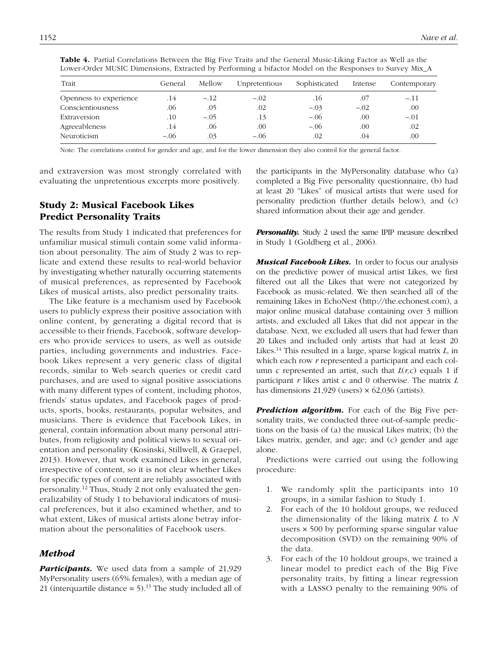| Trait                  | General | Mellow | Unpretentious | Sophisticated | Intense | Contemporary |
|------------------------|---------|--------|---------------|---------------|---------|--------------|
| Openness to experience | .14     | $-.12$ | $-.02$        | .16           | .07     | $-.11$       |
| Conscientiousness      | .06     | .05    | .02           | $-.03$        | $-.02$  | .00          |
| Extraversion           | .10     | $-.05$ | .13           | $-.06$        | .00     | $-.01$       |
| Agreeableness          | .14     | .06    | .00           | $-.06$        | .00     | .02          |
| Neuroticism            | $-.06$  | .03    | $-.06$        | .02           | .04     | .00          |

Table 4. Partial Correlations Between the Big Five Traits and the General Music-Liking Factor as Well as the Lower-Order MUSIC Dimensions, Extracted by Performing a bifactor Model on the Responses to Survey Mix\_A

Note: The correlations control for gender and age, and for the lower dimension they also control for the general factor.

and extraversion was most strongly correlated with evaluating the unpretentious excerpts more positively.

## Study 2: Musical Facebook Likes Predict Personality Traits

The results from Study 1 indicated that preferences for unfamiliar musical stimuli contain some valid information about personality. The aim of Study 2 was to replicate and extend these results to real-world behavior by investigating whether naturally occurring statements of musical preferences, as represented by Facebook Likes of musical artists, also predict personality traits.

The Like feature is a mechanism used by Facebook users to publicly express their positive association with online content, by generating a digital record that is accessible to their friends, Facebook, software developers who provide services to users, as well as outside parties, including governments and industries. Facebook Likes represent a very generic class of digital records, similar to Web search queries or credit card purchases, and are used to signal positive associations with many different types of content, including photos, friends' status updates, and Facebook pages of products, sports, books, restaurants, popular websites, and musicians. There is evidence that Facebook Likes, in general, contain information about many personal attributes, from religiosity and political views to sexual orientation and personality (Kosinski, Stillwell, & Graepel, 2013). However, that work examined Likes in general, irrespective of content, so it is not clear whether Likes for specific types of content are reliably associated with personality.12 Thus, Study 2 not only evaluated the generalizability of Study 1 to behavioral indicators of musical preferences, but it also examined whether, and to what extent, Likes of musical artists alone betray information about the personalities of Facebook users.

## Method

**Participants.** We used data from a sample of 21,929 MyPersonality users (65% females), with a median age of 21 (interquartile distance  $= 5$ ).<sup>13</sup> The study included all of the participants in the MyPersonality database who (a) completed a Big Five personality questionnaire, (b) had at least 20 "Likes" of musical artists that were used for personality prediction (further details below), and (c) shared information about their age and gender.

**Personality.** Study 2 used the same IPIP measure described in Study 1 (Goldberg et al., 2006).

**Musical Facebook Likes.** In order to focus our analysis on the predictive power of musical artist Likes, we first filtered out all the Likes that were not categorized by Facebook as music-related. We then searched all of the remaining Likes in EchoNest (http://the.echonest.com), a major online musical database containing over 3 million artists, and excluded all Likes that did not appear in the database. Next, we excluded all users that had fewer than 20 Likes and included only artists that had at least 20 Likes.<sup>14</sup> This resulted in a large, sparse logical matrix *L*, in which each row *r* represented a participant and each column *c* represented an artist, such that  $L(r, c)$  equals 1 if participant *r* likes artist *c* and 0 otherwise. The matrix *L* has dimensions  $21,929$  (users)  $\times$  62,036 (artists).

**Prediction algorithm.** For each of the Big Five personality traits, we conducted three out-of-sample predictions on the basis of (a) the musical Likes matrix; (b) the Likes matrix, gender, and age; and (c) gender and age alone.

Predictions were carried out using the following procedure:

- 1. We randomly split the participants into 10 groups, in a similar fashion to Study 1.
- 2. For each of the 10 holdout groups, we reduced the dimensionality of the liking matrix *L* to *N* users × 500 by performing sparse singular value decomposition (SVD) on the remaining 90% of the data.
- 3. For each of the 10 holdout groups, we trained a linear model to predict each of the Big Five personality traits, by fitting a linear regression with a LASSO penalty to the remaining 90% of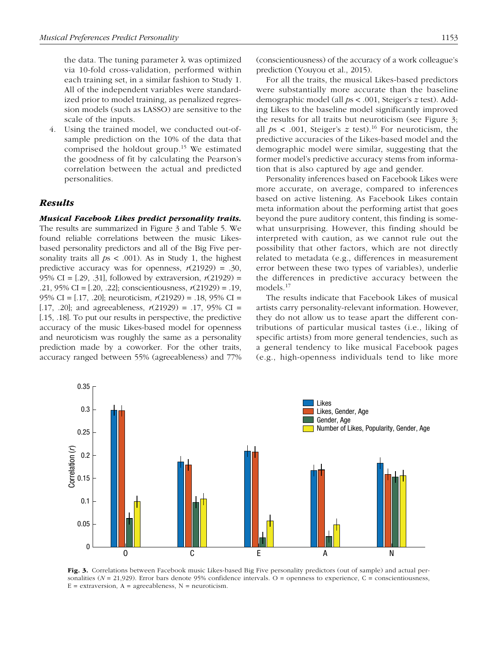the data. The tuning parameter  $\lambda$  was optimized via 10-fold cross-validation, performed within each training set, in a similar fashion to Study 1. All of the independent variables were standardized prior to model training, as penalized regression models (such as LASSO) are sensitive to the scale of the inputs.

4. Using the trained model, we conducted out-ofsample prediction on the 10% of the data that comprised the holdout group.<sup>15</sup> We estimated the goodness of fit by calculating the Pearson's correlation between the actual and predicted personalities.

## Results

Musical Facebook Likes predict personality traits.

The results are summarized in Figure 3 and Table 5. We found reliable correlations between the music Likesbased personality predictors and all of the Big Five personality traits all *p*s < .001). As in Study 1, the highest predictive accuracy was for openness,  $r(21929) = .30$ , 95% CI = [.29, .31], followed by extraversion, *r*(21929) = .21, 95% CI = [.20, .22]; conscientiousness, *r*(21929) = .19, 95% CI = [.17, .20]; neuroticism, *r*(21929) = .18, 95% CI = [.17, .20]; and agreeableness,  $r(21929) = .17, 95\% \text{ CI} =$ [.15, .18]. To put our results in perspective, the predictive accuracy of the music Likes-based model for openness and neuroticism was roughly the same as a personality prediction made by a coworker. For the other traits, accuracy ranged between 55% (agreeableness) and 77% (conscientiousness) of the accuracy of a work colleague's prediction (Youyou et al., 2015).

For all the traits, the musical Likes-based predictors were substantially more accurate than the baseline demographic model (all *p*s < .001, Steiger's *z* test). Adding Likes to the baseline model significantly improved the results for all traits but neuroticism (see Figure 3; all  $ps < .001$ , Steiger's  $z$  test).<sup>16</sup> For neuroticism, the predictive accuracies of the Likes-based model and the demographic model were similar, suggesting that the former model's predictive accuracy stems from information that is also captured by age and gender.

Personality inferences based on Facebook Likes were more accurate, on average, compared to inferences based on active listening. As Facebook Likes contain meta information about the performing artist that goes beyond the pure auditory content, this finding is somewhat unsurprising. However, this finding should be interpreted with caution, as we cannot rule out the possibility that other factors, which are not directly related to metadata (e.g., differences in measurement error between these two types of variables), underlie the differences in predictive accuracy between the models.<sup>17</sup>

The results indicate that Facebook Likes of musical artists carry personality-relevant information. However, they do not allow us to tease apart the different contributions of particular musical tastes (i.e., liking of specific artists) from more general tendencies, such as a general tendency to like musical Facebook pages (e.g., high-openness individuals tend to like more



Fig. 3. Correlations between Facebook music Likes-based Big Five personality predictors (out of sample) and actual personalities ( $N = 21,929$ ). Error bars denote 95% confidence intervals. O = openness to experience, C = conscientiousness,  $E =$  extraversion,  $A =$  agreeableness,  $N =$  neuroticism.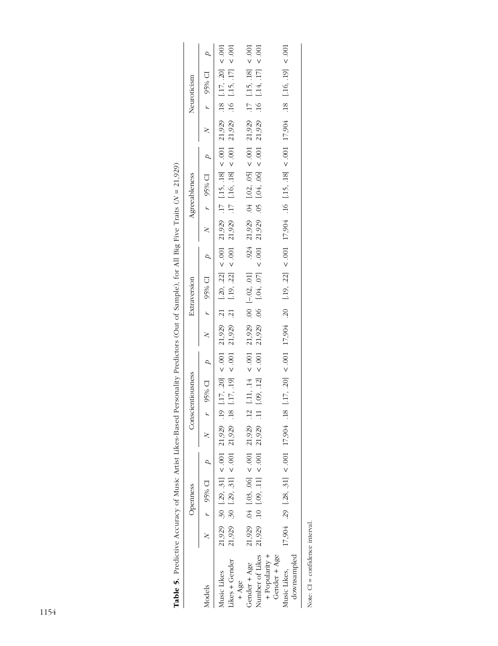|                                |  | Openness |                                                              | Conscientiousness |  | Extraversion |  | Agreeableness                                                                                                                                                                                                                                                                              |  | Neuroticism |                |
|--------------------------------|--|----------|--------------------------------------------------------------|-------------------|--|--------------|--|--------------------------------------------------------------------------------------------------------------------------------------------------------------------------------------------------------------------------------------------------------------------------------------------|--|-------------|----------------|
| Aodels                         |  |          | $N \qquad r \qquad 95\% \qquad D \qquad P \qquad N \qquad r$ |                   |  |              |  |                                                                                                                                                                                                                                                                                            |  |             | $\overline{a}$ |
| Music Likes                    |  |          | $21,929$ . 30 [.29, .31] < .001 21,929 .19                   |                   |  |              |  |                                                                                                                                                                                                                                                                                            |  |             |                |
| .ikes + Gender                 |  |          | $21,929$ .30 [.29, 31] < .001 21,929 .18                     |                   |  |              |  |                                                                                                                                                                                                                                                                                            |  |             |                |
| $+ Agec$                       |  |          |                                                              |                   |  |              |  |                                                                                                                                                                                                                                                                                            |  |             |                |
| Gender + Age                   |  |          | $21,929$ . 04 [.03, .06] < .001 21,929 .12                   |                   |  |              |  |                                                                                                                                                                                                                                                                                            |  |             |                |
| Number of Likes                |  |          | $21,929$ .10 [.09, .11] < .001 21,929 .11                    |                   |  |              |  | $\begin{bmatrix} .11 , .14 & < .001 & 21,929 & .00 & [-.02, .01] & .924 & 21,929 & .04 & [.02, .05] < .001 & 21,929 & .17 & [.15, .18] < .001 \\ [.09, .12] < .001 & 21,929 & .06 & [.04, .07] < .001 & 21,929 & .05 & [.04, .06] < .001 & 21,929 & .16 & [.14, .17] < .001 \end{bmatrix}$ |  |             |                |
| + Popularity +<br>Gender + Age |  |          |                                                              |                   |  |              |  |                                                                                                                                                                                                                                                                                            |  |             |                |
| downsampled<br>Ausic Likes,    |  |          | $17,904$ .29 [.28, 31] < 001 17,904 .18                      |                   |  |              |  | $[.17, .20]$ < 001 17,904 .20 $[.19, .22]$ < 001 17,904 .16 $[.15, .18]$ < 001 17,904 .18 $[.16, .19]$ < 001                                                                                                                                                                               |  |             |                |
|                                |  |          |                                                              |                   |  |              |  |                                                                                                                                                                                                                                                                                            |  |             |                |

Table 5. Predictive Accuracy of Music Artist Likes-Based Personality Predictors (Out of Sample), for All Big Five Traits (N = 21,929) Table 5. Predictive Accuracy of Music Artist Likes-Based Personality Predictors (Out of Sample), for All Big Five Traits (*N* = 21,929)

Note:  $CI = confidence$  interval. Note: CI = confidence interval.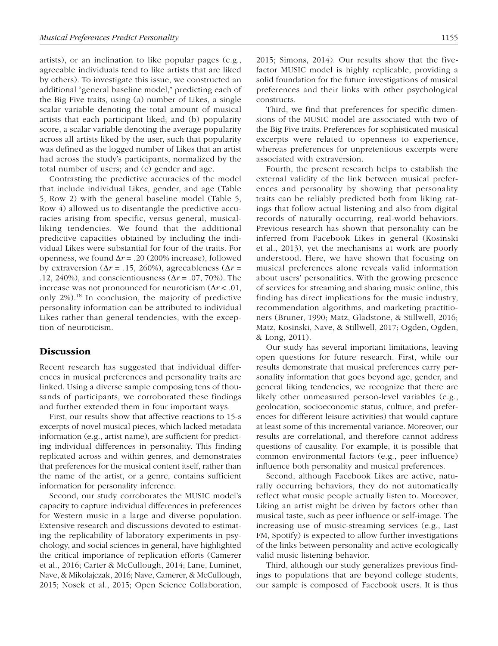artists), or an inclination to like popular pages (e.g., agreeable individuals tend to like artists that are liked by others). To investigate this issue, we constructed an additional "general baseline model," predicting each of the Big Five traits, using (a) number of Likes, a single scalar variable denoting the total amount of musical artists that each participant liked; and (b) popularity score, a scalar variable denoting the average popularity across all artists liked by the user, such that popularity was defined as the logged number of Likes that an artist had across the study's participants, normalized by the total number of users; and (c) gender and age.

Contrasting the predictive accuracies of the model that include individual Likes, gender, and age (Table 5, Row 2) with the general baseline model (Table 5, Row 4) allowed us to disentangle the predictive accuracies arising from specific, versus general, musicalliking tendencies. We found that the additional predictive capacities obtained by including the individual Likes were substantial for four of the traits. For openness, we found  $\Delta r = .20$  (200% increase), followed by extraversion (Δ*r* = .15, 260%), agreeableness (Δ*r* = .12, 240%), and conscientiousness (Δ*r* = .07, 70%). The increase was not pronounced for neuroticism (Δ*r* < .01, only  $2\%$ ).<sup>18</sup> In conclusion, the majority of predictive personality information can be attributed to individual Likes rather than general tendencies, with the exception of neuroticism.

## **Discussion**

Recent research has suggested that individual differences in musical preferences and personality traits are linked. Using a diverse sample composing tens of thousands of participants, we corroborated these findings and further extended them in four important ways.

First, our results show that affective reactions to 15-s excerpts of novel musical pieces, which lacked metadata information (e.g., artist name), are sufficient for predicting individual differences in personality. This finding replicated across and within genres, and demonstrates that preferences for the musical content itself, rather than the name of the artist, or a genre, contains sufficient information for personality inference.

Second, our study corroborates the MUSIC model's capacity to capture individual differences in preferences for Western music in a large and diverse population. Extensive research and discussions devoted to estimating the replicability of laboratory experiments in psychology, and social sciences in general, have highlighted the critical importance of replication efforts (Camerer et al., 2016; Carter & McCullough, 2014; Lane, Luminet, Nave, & Mikolajczak, 2016; Nave, Camerer, & McCullough, 2015; Nosek et al., 2015; Open Science Collaboration, 2015; Simons, 2014). Our results show that the fivefactor MUSIC model is highly replicable, providing a solid foundation for the future investigations of musical preferences and their links with other psychological constructs.

Third, we find that preferences for specific dimensions of the MUSIC model are associated with two of the Big Five traits. Preferences for sophisticated musical excerpts were related to openness to experience, whereas preferences for unpretentious excerpts were associated with extraversion.

Fourth, the present research helps to establish the external validity of the link between musical preferences and personality by showing that personality traits can be reliably predicted both from liking ratings that follow actual listening and also from digital records of naturally occurring, real-world behaviors. Previous research has shown that personality can be inferred from Facebook Likes in general (Kosinski et al., 2013), yet the mechanisms at work are poorly understood. Here, we have shown that focusing on musical preferences alone reveals valid information about users' personalities. With the growing presence of services for streaming and sharing music online, this finding has direct implications for the music industry, recommendation algorithms, and marketing practitioners (Bruner, 1990; Matz, Gladstone, & Stillwell, 2016; Matz, Kosinski, Nave, & Stillwell, 2017; Ogden, Ogden, & Long, 2011).

Our study has several important limitations, leaving open questions for future research. First, while our results demonstrate that musical preferences carry personality information that goes beyond age, gender, and general liking tendencies, we recognize that there are likely other unmeasured person-level variables (e.g., geolocation, socioeconomic status, culture, and preferences for different leisure activities) that would capture at least some of this incremental variance. Moreover, our results are correlational, and therefore cannot address questions of causality. For example, it is possible that common environmental factors (e.g., peer influence) influence both personality and musical preferences.

Second, although Facebook Likes are active, naturally occurring behaviors, they do not automatically reflect what music people actually listen to. Moreover, Liking an artist might be driven by factors other than musical taste, such as peer influence or self-image. The increasing use of music-streaming services (e.g., Last FM, Spotify) is expected to allow further investigations of the links between personality and active ecologically valid music listening behavior.

Third, although our study generalizes previous findings to populations that are beyond college students, our sample is composed of Facebook users. It is thus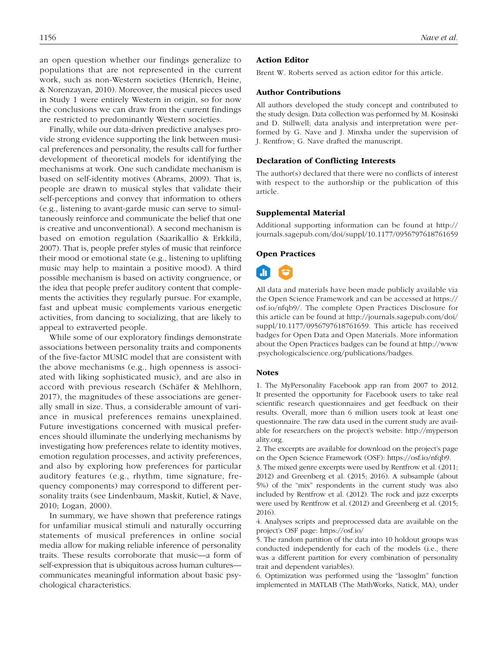an open question whether our findings generalize to populations that are not represented in the current work, such as non-Western societies (Henrich, Heine, & Norenzayan, 2010). Moreover, the musical pieces used in Study 1 were entirely Western in origin, so for now the conclusions we can draw from the current findings are restricted to predominantly Western societies.

Finally, while our data-driven predictive analyses provide strong evidence supporting the link between musical preferences and personality, the results call for further development of theoretical models for identifying the mechanisms at work. One such candidate mechanism is based on self-identity motives (Abrams, 2009). That is, people are drawn to musical styles that validate their self-perceptions and convey that information to others (e.g., listening to avant-garde music can serve to simultaneously reinforce and communicate the belief that one is creative and unconventional). A second mechanism is based on emotion regulation (Saarikallio & Erkkilä, 2007). That is, people prefer styles of music that reinforce their mood or emotional state (e.g., listening to uplifting music may help to maintain a positive mood). A third possible mechanism is based on activity congruence, or the idea that people prefer auditory content that complements the activities they regularly pursue. For example, fast and upbeat music complements various energetic activities, from dancing to socializing, that are likely to appeal to extraverted people.

While some of our exploratory findings demonstrate associations between personality traits and components of the five-factor MUSIC model that are consistent with the above mechanisms (e.g., high openness is associated with liking sophisticated music), and are also in accord with previous research (Schäfer & Mehlhorn, 2017), the magnitudes of these associations are generally small in size. Thus, a considerable amount of variance in musical preferences remains unexplained. Future investigations concerned with musical preferences should illuminate the underlying mechanisms by investigating how preferences relate to identity motives, emotion regulation processes, and activity preferences, and also by exploring how preferences for particular auditory features (e.g., rhythm, time signature, frequency components) may correspond to different personality traits (see Lindenbaum, Maskit, Kutiel, & Nave, 2010; Logan, 2000).

In summary, we have shown that preference ratings for unfamiliar musical stimuli and naturally occurring statements of musical preferences in online social media allow for making reliable inference of personality traits. These results corroborate that music—a form of self-expression that is ubiquitous across human cultures communicates meaningful information about basic psychological characteristics.

## 1156 *Nave et al.*

#### Action Editor

Brent W. Roberts served as action editor for this article.

### Author Contributions

All authors developed the study concept and contributed to the study design. Data collection was performed by M. Kosinski and D. Stillwell; data analysis and interpretation were performed by G. Nave and J. Minxha under the supervision of J. Rentfrow; G. Nave drafted the manuscript.

### Declaration of Conflicting Interests

The author(s) declared that there were no conflicts of interest with respect to the authorship or the publication of this article.

#### Supplemental Material

Additional supporting information can be found at http:// journals.sagepub.com/doi/suppl/10.1177/0956797618761659

### Open Practices



All data and materials have been made publicly available via the Open Science Framework and can be accessed at https:// osf.io/nfqb9/. The complete Open Practices Disclosure for this article can be found at http://journals.sagepub.com/doi/ suppl/10.1177/0956797618761659. This article has received badges for Open Data and Open Materials. More information about the Open Practices badges can be found at http://www .psychologicalscience.org/publications/badges.

#### Notes

1. The MyPersonality Facebook app ran from 2007 to 2012. It presented the opportunity for Facebook users to take real scientific research questionnaires and get feedback on their results. Overall, more than 6 million users took at least one questionnaire. The raw data used in the current study are available for researchers on the project's website: http://myperson ality.org.

2. The excerpts are available for download on the project's page on the Open Science Framework (OSF): https://osf.io/nfqb9.

3. The mixed genre excerpts were used by Rentfrow et al. (2011; 2012) and Greenberg et al. (2015; 2016). A subsample (about 5%) of the "mix" respondents in the current study was also included by Rentfrow et al. (2012). The rock and jazz excerpts were used by Rentfrow et al. (2012) and Greenberg et al. (2015; 2016).

4. Analyses scripts and preprocessed data are available on the project's OSF page: https://osf.io/

5. The random partition of the data into 10 holdout groups was conducted independently for each of the models (i.e., there was a different partition for every combination of personality trait and dependent variables).

6. Optimization was performed using the "lassoglm" function implemented in MATLAB (The MathWorks, Natick, MA), under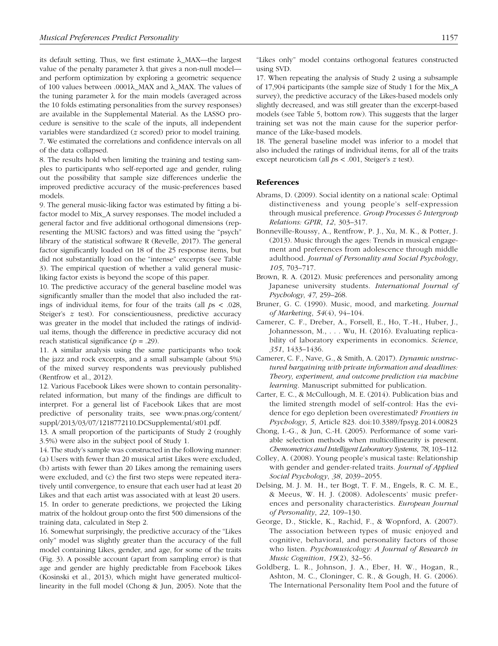its default setting. Thus, we first estimate λ\_MAX—the largest value of the penalty parameter  $\lambda$  that gives a non-null model and perform optimization by exploring a geometric sequence of 100 values between .0001λ\_MAX and λ\_MAX. The values of the tuning parameter  $λ$  for the main models (averaged across the 10 folds estimating personalities from the survey responses) are available in the Supplemental Material. As the LASSO procedure is sensitive to the scale of the inputs, all independent variables were standardized (*z* scored) prior to model training. 7. We estimated the correlations and confidence intervals on all of the data collapsed.

8. The results hold when limiting the training and testing samples to participants who self-reported age and gender, ruling out the possibility that sample size differences underlie the improved predictive accuracy of the music-preferences based models.

9. The general music-liking factor was estimated by fitting a bifactor model to Mix\_A survey responses. The model included a general factor and five additional orthogonal dimensions (representing the MUSIC factors) and was fitted using the "psych" library of the statistical software R (Revelle, 2017). The general factor significantly loaded on 18 of the 25 response items, but did not substantially load on the "intense" excerpts (see Table 3). The empirical question of whether a valid general musicliking factor exists is beyond the scope of this paper.

10. The predictive accuracy of the general baseline model was significantly smaller than the model that also included the ratings of individual items, for four of the traits (all *p*s < .028, Steiger's *z* test). For conscientiousness, predictive accuracy was greater in the model that included the ratings of individual items, though the difference in predictive accuracy did not reach statistical significance  $(p = .29)$ .

11. A similar analysis using the same participants who took the jazz and rock excerpts, and a small subsample (about 5%) of the mixed survey respondents was previously published (Rentfrow et al., 2012).

12. Various Facebook Likes were shown to contain personalityrelated information, but many of the findings are difficult to interpret. For a general list of Facebook Likes that are most predictive of personality traits, see www.pnas.org/content/ suppl/2013/03/07/1218772110.DCSupplemental/st01.pdf.

13. A small proportion of the participants of Study 2 (roughly 3.5%) were also in the subject pool of Study 1.

14. The study's sample was constructed in the following manner: (a) Users with fewer than 20 musical artist Likes were excluded, (b) artists with fewer than 20 Likes among the remaining users were excluded, and (c) the first two steps were repeated iteratively until convergence, to ensure that each user had at least 20 Likes and that each artist was associated with at least 20 users. 15. In order to generate predictions, we projected the Liking matrix of the holdout group onto the first 500 dimensions of the training data, calculated in Step 2.

16. Somewhat surprisingly, the predictive accuracy of the "Likes only" model was slightly greater than the accuracy of the full model containing Likes, gender, and age, for some of the traits (Fig. 3). A possible account (apart from sampling error) is that age and gender are highly predictable from Facebook Likes (Kosinski et al., 2013), which might have generated multicollinearity in the full model (Chong & Jun, 2005). Note that the

17. When repeating the analysis of Study 2 using a subsample of 17,904 participants (the sample size of Study 1 for the Mix\_A survey), the predictive accuracy of the Likes-based models only slightly decreased, and was still greater than the excerpt-based models (see Table 5, bottom row). This suggests that the larger training set was not the main cause for the superior performance of the Like-based models.

18. The general baseline model was inferior to a model that also included the ratings of individual items, for all of the traits except neuroticism (all *p*s < .001, Steiger's *z* test).

### References

- Abrams, D. (2009). Social identity on a national scale: Optimal distinctiveness and young people's self-expression through musical preference. *Group Processes & Intergroup Relations: GPIR*, *12*, 303–317.
- Bonneville-Roussy, A., Rentfrow, P. J., Xu, M. K., & Potter, J. (2013). Music through the ages: Trends in musical engagement and preferences from adolescence through middle adulthood. *Journal of Personality and Social Psychology*, *105*, 703–717.
- Brown, R. A. (2012). Music preferences and personality among Japanese university students. *International Journal of Psychology*, *47*, 259–268.
- Bruner, G. C. (1990). Music, mood, and marketing. *Journal of Marketing*, *54*(4), 94–104.
- Camerer, C. F., Dreber, A., Forsell, E., Ho, T.-H., Huber, J., Johannesson, M., . . . Wu, H. (2016). Evaluating replicability of laboratory experiments in economics. *Science*, *351*, 1433–1436.
- Camerer, C. F., Nave, G., & Smith, A. (2017). *Dynamic unstructured bargaining with private information and deadlines: Theory, experiment, and outcome prediction via machine learning*. Manuscript submitted for publication.
- Carter, E. C., & McCullough, M. E. (2014). Publication bias and the limited strength model of self-control: Has the evidence for ego depletion been overestimated? *Frontiers in Psychology*, *5*, Article 823. doi:10.3389/fpsyg.2014.00823
- Chong, I.-G., & Jun, C.-H. (2005). Performance of some variable selection methods when multicollinearity is present. *Chemometrics and Intelligent Laboratory Systems*, *78*, 103–112.
- Colley, A. (2008). Young people's musical taste: Relationship with gender and gender-related traits. *Journal of Applied Social Psychology*, *38*, 2039–2055.
- Delsing, M. J. M. H., ter Bogt, T. F. M., Engels, R. C. M. E., & Meeus, W. H. J. (2008). Adolescents' music preferences and personality characteristics. *European Journal of Personality*, *22*, 109–130.
- George, D., Stickle, K., Rachid, F., & Wopnford, A. (2007). The association between types of music enjoyed and cognitive, behavioral, and personality factors of those who listen. *Psychomusicology: A Journal of Research in Music Cognition*, *19*(2), 32–56.
- Goldberg, L. R., Johnson, J. A., Eber, H. W., Hogan, R., Ashton, M. C., Cloninger, C. R., & Gough, H. G. (2006). The International Personality Item Pool and the future of